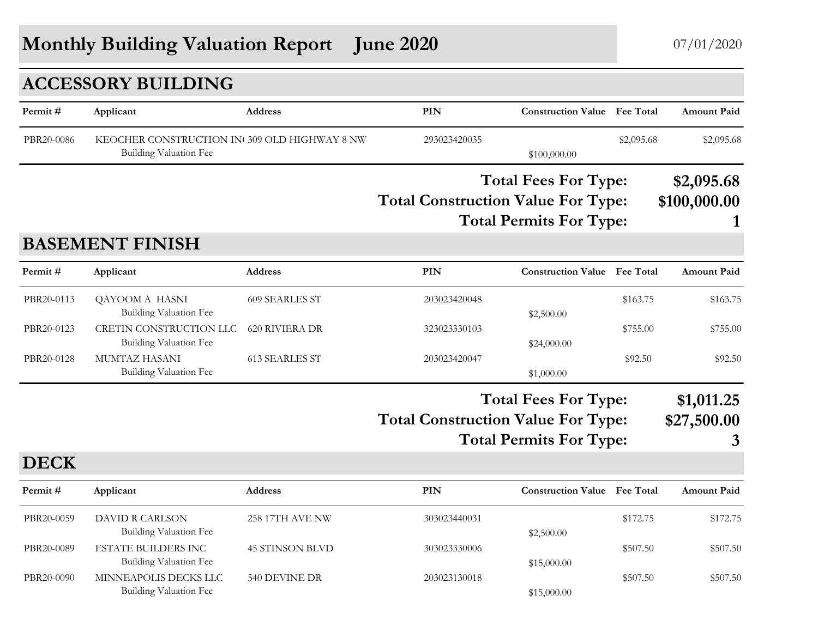## **Monthly Building Valuation Report June 2020** 07/01/2020

### **ACCESSORY BUILDING**

| Permit#     | Applicant                                                                     | Address                | <b>PIN</b>                                | <b>Construction Value Fee Total</b>                           |            | <b>Amount Paid</b>              |
|-------------|-------------------------------------------------------------------------------|------------------------|-------------------------------------------|---------------------------------------------------------------|------------|---------------------------------|
| PBR20-0086  | KEOCHER CONSTRUCTION IN 309 OLD HIGHWAY 8 NW<br><b>Building Valuation Fee</b> |                        | 293023420035                              | \$100,000.00                                                  | \$2,095.68 | \$2,095.68                      |
|             |                                                                               |                        | <b>Total Construction Value For Type:</b> | <b>Total Fees For Type:</b><br><b>Total Permits For Type:</b> |            | \$2,095.68<br>\$100,000.00<br>1 |
|             | <b>BASEMENT FINISH</b>                                                        |                        |                                           |                                                               |            |                                 |
| Permit#     | Applicant                                                                     | Address                | <b>PIN</b>                                | <b>Construction Value</b> Fee Total                           |            | <b>Amount Paid</b>              |
| PBR20-0113  | QAYOOM A HASNI<br><b>Building Valuation Fee</b>                               | <b>609 SEARLES ST</b>  | 203023420048                              | \$2,500.00                                                    | \$163.75   | \$163.75                        |
| PBR20-0123  | CRETIN CONSTRUCTION LLC<br><b>Building Valuation Fee</b>                      | <b>620 RIVIERA DR</b>  | 323023330103                              | \$24,000.00                                                   | \$755.00   | \$755.00                        |
| PBR20-0128  | MUMTAZ HASANI<br>Building Valuation Fee                                       | <b>613 SEARLES ST</b>  | 203023420047                              | \$1,000.00                                                    | \$92.50    | \$92.50                         |
|             |                                                                               |                        | <b>Total Construction Value For Type:</b> | <b>Total Fees For Type:</b><br><b>Total Permits For Type:</b> |            | \$1,011.25<br>\$27,500.00<br>3  |
| <b>DECK</b> |                                                                               |                        |                                           |                                                               |            |                                 |
| Permit#     | Applicant                                                                     | Address                | <b>PIN</b>                                | <b>Construction Value</b> Fee Total                           |            | <b>Amount Paid</b>              |
| PBR20-0059  | DAVID R CARLSON<br><b>Building Valuation Fee</b>                              | <b>258 17TH AVE NW</b> | 303023440031                              | \$2,500.00                                                    | \$172.75   | \$172.75                        |
| PBR20-0089  | <b>ESTATE BUILDERS INC</b><br>Building Valuation Fee                          | <b>45 STINSON BLVD</b> | 303023330006                              | \$15,000.00                                                   | \$507.50   | \$507.50                        |

PBR20-0090 MINNEAPOLIS DECKS LLC 540 DEVINE DR 203023130018 \$507.50 \$507.50 \$507.50

Building Valuation Fee  $$15,000.00$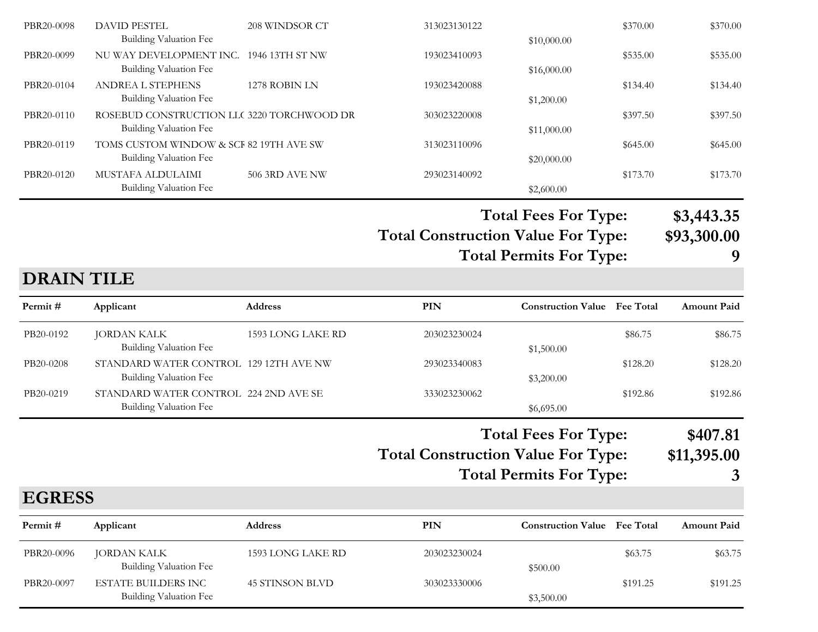| PBR20-0098 | DAVID PESTEL                               | 208 WINDSOR CT        | 313023130122 |             | \$370.00 | \$370.00 |
|------------|--------------------------------------------|-----------------------|--------------|-------------|----------|----------|
|            | <b>Building Valuation Fee</b>              |                       |              | \$10,000.00 |          |          |
| PBR20-0099 | NU WAY DEVELOPMENT INC. 1946 13TH ST NW    |                       | 193023410093 |             | \$535.00 | \$535.00 |
|            | Building Valuation Fee                     |                       |              | \$16,000.00 |          |          |
| PBR20-0104 | <b>ANDREA L STEPHENS</b>                   | 1278 ROBIN LN         | 193023420088 |             | \$134.40 | \$134.40 |
|            | Building Valuation Fee                     |                       |              | \$1,200.00  |          |          |
| PBR20-0110 | ROSEBUD CONSTRUCTION LLC 3220 TORCHWOOD DR |                       | 303023220008 |             | \$397.50 | \$397.50 |
|            | Building Valuation Fee                     |                       |              | \$11,000.00 |          |          |
| PBR20-0119 | TOMS CUSTOM WINDOW & SCF 82 19TH AVE SW    |                       | 313023110096 |             | \$645.00 | \$645.00 |
|            | Building Valuation Fee                     |                       |              | \$20,000.00 |          |          |
| PBR20-0120 | MUSTAFA ALDULAIMI                          | <b>506 3RD AVE NW</b> | 293023140092 |             | \$173.70 | \$173.70 |
|            | Building Valuation Fee                     |                       |              | \$2,600.00  |          |          |

**Total Fees For Type: \$3,443.35**

Total Construction Value For Type: \$93,300.00<br>Total Permits For Type: 9 **Total Permits For Type: 9**

| <b>DRAIN TILE</b> |                                                                         |                   |                                           |                                                               |                  |                              |
|-------------------|-------------------------------------------------------------------------|-------------------|-------------------------------------------|---------------------------------------------------------------|------------------|------------------------------|
| Permit#           | Applicant                                                               | <b>Address</b>    | PIN                                       | <b>Construction Value</b>                                     | <b>Fee Total</b> | <b>Amount Paid</b>           |
| PB20-0192         | <b>JORDAN KALK</b><br><b>Building Valuation Fee</b>                     | 1593 LONG LAKE RD | 203023230024                              | \$1,500.00                                                    | \$86.75          | \$86.75                      |
| PB20-0208         | STANDARD WATER CONTROL 129 12TH AVE NW<br><b>Building Valuation Fee</b> |                   | 293023340083                              | \$3,200.00                                                    | \$128.20         | \$128.20                     |
| PB20-0219         | STANDARD WATER CONTROL 224 2ND AVE SE<br><b>Building Valuation Fee</b>  |                   | 333023230062                              | \$6,695.00                                                    | \$192.86         | \$192.86                     |
|                   |                                                                         |                   | <b>Total Construction Value For Type:</b> | <b>Total Fees For Type:</b><br><b>Total Permits For Type:</b> |                  | \$407.81<br>\$11,395.00<br>3 |
| <b>EGRESS</b>     |                                                                         |                   |                                           |                                                               |                  |                              |
| Permit#           | Applicant                                                               | <b>Address</b>    | PIN                                       | <b>Construction Value</b>                                     | <b>Fee Total</b> | <b>Amount Paid</b>           |

| $r$ erinit $\theta$ | дррисани                      | Auuress           | F 11N        | Construction value Fee Fotal |          | Анючин гана |
|---------------------|-------------------------------|-------------------|--------------|------------------------------|----------|-------------|
| PBR20-0096          | JORDAN KALK                   | 1593 LONG LAKE RD | 203023230024 |                              | \$63.75  | \$63.75     |
|                     | <b>Building Valuation Fee</b> |                   |              | \$500.00                     |          |             |
| PBR20-0097          | ESTATE BUILDERS INC           | 45 STINSON BLVD   | 303023330006 |                              | \$191.25 | \$191.25    |
|                     | Building Valuation Fee        |                   |              | \$3,500.00                   |          |             |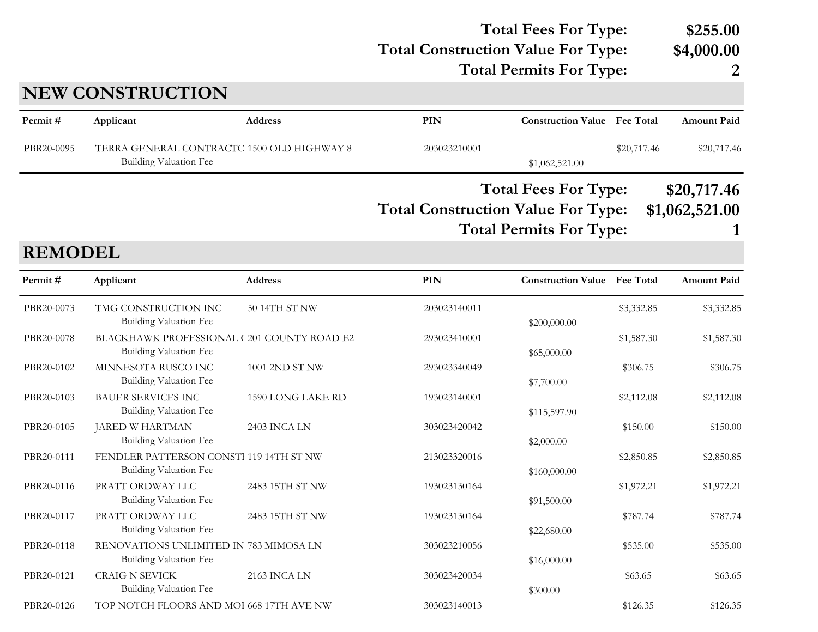#### **Total Construction Value For Type: \$4,000.00 Total Fees For Type: \$255.00**

**Total Permits For Type: 2**

### **NEW CONSTRUCTION**

| Permit#    | Applicant                     | <b>Address</b>                             | PIN                                       | <b>Construction Value</b> Fee Total |             | <b>Amount Paid</b> |
|------------|-------------------------------|--------------------------------------------|-------------------------------------------|-------------------------------------|-------------|--------------------|
| PBR20-0095 | <b>Building Valuation Fee</b> | TERRA GENERAL CONTRACTO 1500 OLD HIGHWAY 8 | 203023210001                              | \$1,062,521.00                      | \$20,717.46 | \$20,717.46        |
|            |                               |                                            |                                           | <b>Total Fees For Type:</b>         |             | \$20,717.46        |
|            |                               |                                            | <b>Total Construction Value For Type:</b> | <b>Total Permits For Type:</b>      |             | \$1,062,521.00     |

**REMODEL**

| Permit#    | Applicant                                                            | <b>Address</b>    | PIN          | <b>Construction Value Fee Total</b> |            | <b>Amount Paid</b> |
|------------|----------------------------------------------------------------------|-------------------|--------------|-------------------------------------|------------|--------------------|
| PBR20-0073 | TMG CONSTRUCTION INC<br>Building Valuation Fee                       | 50 14TH ST NW     | 203023140011 | \$200,000.00                        | \$3,332.85 | \$3,332.85         |
| PBR20-0078 | BLACKHAWK PROFESSIONAL (201 COUNTY ROAD E2<br>Building Valuation Fee |                   | 293023410001 | \$65,000.00                         | \$1,587.30 | \$1,587.30         |
| PBR20-0102 | MINNESOTA RUSCO INC<br>Building Valuation Fee                        | 1001 2ND ST NW    | 293023340049 | \$7,700.00                          | \$306.75   | \$306.75           |
| PBR20-0103 | <b>BAUER SERVICES INC</b><br>Building Valuation Fee                  | 1590 LONG LAKE RD | 193023140001 | \$115,597.90                        | \$2,112.08 | \$2,112.08         |
| PBR20-0105 | JARED W HARTMAN<br>Building Valuation Fee                            | 2403 INCA LN      | 303023420042 | \$2,000.00                          | \$150.00   | \$150.00           |
| PBR20-0111 | FENDLER PATTERSON CONSTI 119 14TH ST NW<br>Building Valuation Fee    |                   | 213023320016 | \$160,000.00                        | \$2,850.85 | \$2,850.85         |
| PBR20-0116 | PRATT ORDWAY LLC<br>Building Valuation Fee                           | 2483 15TH ST NW   | 193023130164 | \$91,500.00                         | \$1,972.21 | \$1,972.21         |
| PBR20-0117 | PRATT ORDWAY LLC<br><b>Building Valuation Fee</b>                    | 2483 15TH ST NW   | 193023130164 | \$22,680.00                         | \$787.74   | \$787.74           |
| PBR20-0118 | RENOVATIONS UNLIMITED IN 783 MIMOSA LN<br>Building Valuation Fee     |                   | 303023210056 | \$16,000.00                         | \$535.00   | \$535.00           |
| PBR20-0121 | <b>CRAIG N SEVICK</b><br>Building Valuation Fee                      | 2163 INCA LN      | 303023420034 | \$300.00                            | \$63.65    | \$63.65            |
| PBR20-0126 | TOP NOTCH FLOORS AND MOI 668 17TH AVE NW                             |                   | 303023140013 |                                     | \$126.35   | \$126.35           |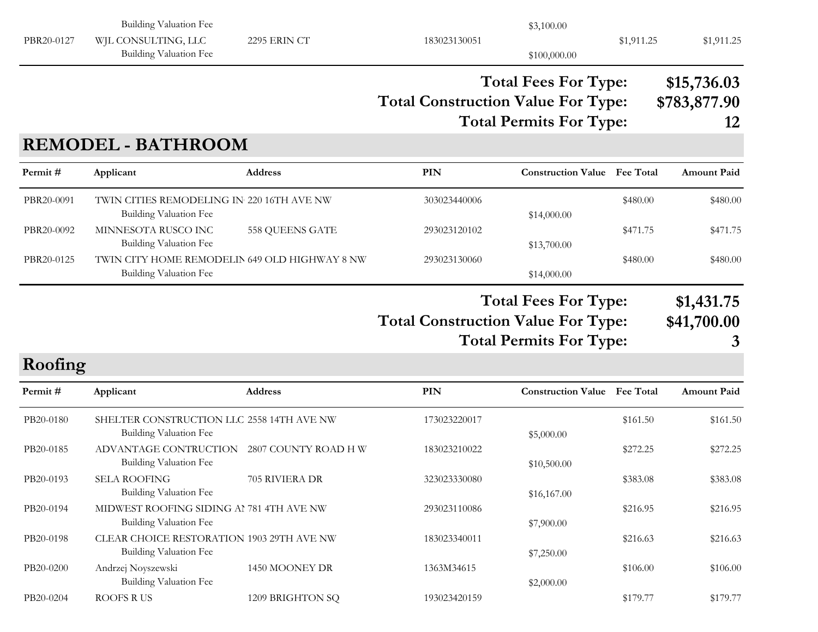|            | <b>Building Valuation Fee</b>                                              |                      |                                           | \$3,100.00                                                    |            |                                   |
|------------|----------------------------------------------------------------------------|----------------------|-------------------------------------------|---------------------------------------------------------------|------------|-----------------------------------|
| PBR20-0127 | WJL CONSULTING, LLC<br>Building Valuation Fee                              | 2295 ERIN CT         | 183023130051                              | \$100,000.00                                                  | \$1,911.25 | \$1,911.25                        |
|            |                                                                            |                      | <b>Total Construction Value For Type:</b> | <b>Total Fees For Type:</b><br><b>Total Permits For Type:</b> |            | \$15,736.03<br>\$783,877.90<br>12 |
|            | <b>REMODEL - BATHROOM</b>                                                  |                      |                                           |                                                               |            |                                   |
| Permit#    | Applicant                                                                  | Address              | <b>PIN</b>                                | <b>Construction Value</b> Fee Total                           |            | <b>Amount Paid</b>                |
| PBR20-0091 | TWIN CITIES REMODELING IN 220 16TH AVE NW<br>Building Valuation Fee        |                      | 303023440006                              | \$14,000.00                                                   | \$480.00   | \$480.00                          |
| PBR20-0092 | MINNESOTA RUSCO INC<br><b>Building Valuation Fee</b>                       | 558 QUEENS GATE      | 293023120102                              | \$13,700.00                                                   | \$471.75   | \$471.75                          |
| PBR20-0125 | TWIN CITY HOME REMODELIN 649 OLD HIGHWAY 8 NW<br>Building Valuation Fee    |                      | 293023130060                              | \$14,000.00                                                   | \$480.00   | \$480.00                          |
|            |                                                                            |                      | <b>Total Construction Value For Type:</b> | <b>Total Fees For Type:</b>                                   |            | \$1,431.75<br>\$41,700.00         |
|            |                                                                            |                      |                                           | <b>Total Permits For Type:</b>                                |            | 3                                 |
| Roofing    |                                                                            |                      |                                           |                                                               |            |                                   |
| Permit#    | Applicant                                                                  | <b>Address</b>       | PIN                                       | <b>Construction Value</b> Fee Total                           |            | <b>Amount Paid</b>                |
| PB20-0180  | SHELTER CONSTRUCTION LLC 2558 14TH AVE NW<br><b>Building Valuation Fee</b> |                      | 173023220017                              | \$5,000.00                                                    | \$161.50   | \$161.50                          |
| PB20-0185  | ADVANTAGE CONTRUCTION<br>Building Valuation Fee                            | 2807 COUNTY ROAD H W | 183023210022                              | \$10,500.00                                                   | \$272.25   | \$272.25                          |
| PB20-0193  | SELA ROOFING<br>Building Valuation Fee                                     | 705 RIVIERA DR       | 323023330080                              | \$16,167.00                                                   | \$383.08   | \$383.08                          |
| PB20-0194  | MIDWEST ROOFING SIDING AI 781 4TH AVE NW<br>Building Valuation Fee         |                      | 293023110086                              | \$7,900.00                                                    | \$216.95   | \$216.95                          |
| PB20-0198  | CLEAR CHOICE RESTORATION 1903 29TH AVE NW<br>Building Valuation Fee        |                      | 183023340011                              | \$7,250.00                                                    | \$216.63   | \$216.63                          |
| PB20-0200  | Andrzej Noyszewski<br>Building Valuation Fee                               | 1450 MOONEY DR       | 1363M34615                                | \$2,000.00                                                    | \$106.00   | \$106.00                          |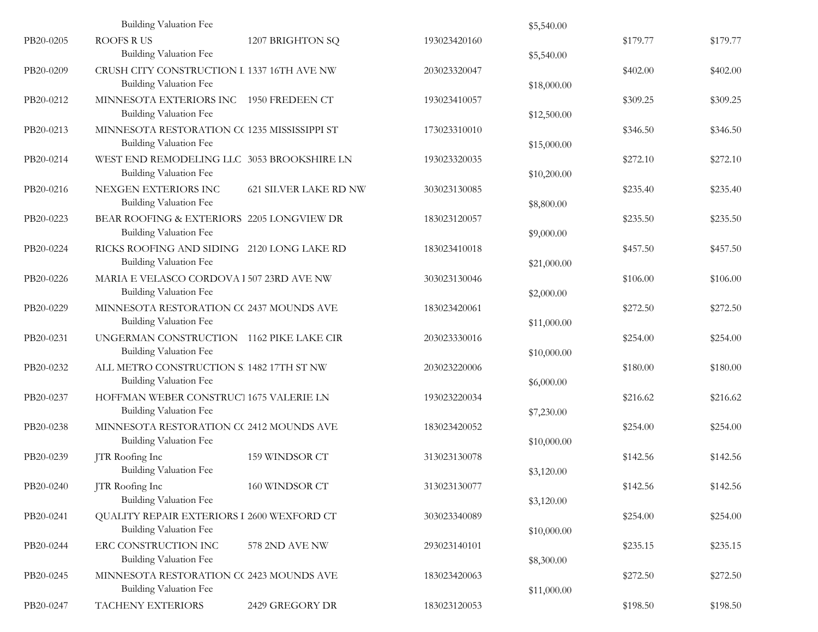|           | <b>Building Valuation Fee</b>                                               |                              |              | \$5,540.00  |          |          |
|-----------|-----------------------------------------------------------------------------|------------------------------|--------------|-------------|----------|----------|
| PB20-0205 | <b>ROOFS RUS</b><br>Building Valuation Fee                                  | 1207 BRIGHTON SQ             | 193023420160 | \$5,540.00  | \$179.77 | \$179.77 |
| PB20-0209 | CRUSH CITY CONSTRUCTION I 1337 16TH AVE NW<br>Building Valuation Fee        |                              | 203023320047 | \$18,000.00 | \$402.00 | \$402.00 |
| PB20-0212 | MINNESOTA EXTERIORS INC 1950 FREDEEN CT<br>Building Valuation Fee           |                              | 193023410057 | \$12,500.00 | \$309.25 | \$309.25 |
| PB20-0213 | MINNESOTA RESTORATION CC 1235 MISSISSIPPI ST<br>Building Valuation Fee      |                              | 173023310010 | \$15,000.00 | \$346.50 | \$346.50 |
| PB20-0214 | WEST END REMODELING LLC 3053 BROOKSHIRE LN<br><b>Building Valuation Fee</b> |                              | 193023320035 | \$10,200.00 | \$272.10 | \$272.10 |
| PB20-0216 | NEXGEN EXTERIORS INC<br>Building Valuation Fee                              | <b>621 SILVER LAKE RD NW</b> | 303023130085 | \$8,800.00  | \$235.40 | \$235.40 |
| PB20-0223 | BEAR ROOFING & EXTERIORS 2205 LONGVIEW DR<br>Building Valuation Fee         |                              | 183023120057 | \$9,000.00  | \$235.50 | \$235.50 |
| PB20-0224 | RICKS ROOFING AND SIDING 2120 LONG LAKE RD<br>Building Valuation Fee        |                              | 183023410018 | \$21,000.00 | \$457.50 | \$457.50 |
| PB20-0226 | MARIA E VELASCO CORDOVA 1 507 23RD AVE NW<br>Building Valuation Fee         |                              | 303023130046 | \$2,000.00  | \$106.00 | \$106.00 |
| PB20-0229 | MINNESOTA RESTORATION CC 2437 MOUNDS AVE<br>Building Valuation Fee          |                              | 183023420061 | \$11,000.00 | \$272.50 | \$272.50 |
| PB20-0231 | UNGERMAN CONSTRUCTION 1162 PIKE LAKE CIR<br><b>Building Valuation Fee</b>   |                              | 203023330016 | \$10,000.00 | \$254.00 | \$254.00 |
| PB20-0232 | ALL METRO CONSTRUCTION S. 1482 17TH ST NW<br>Building Valuation Fee         |                              | 203023220006 | \$6,000.00  | \$180.00 | \$180.00 |
| PB20-0237 | HOFFMAN WEBER CONSTRUCT 1675 VALERIE LN<br><b>Building Valuation Fee</b>    |                              | 193023220034 | \$7,230.00  | \$216.62 | \$216.62 |
| PB20-0238 | MINNESOTA RESTORATION CC 2412 MOUNDS AVE<br>Building Valuation Fee          |                              | 183023420052 | \$10,000.00 | \$254.00 | \$254.00 |
| PB20-0239 | JTR Roofing Inc<br><b>Building Valuation Fee</b>                            | 159 WINDSOR CT               | 313023130078 | \$3,120.00  | \$142.56 | \$142.56 |
| PB20-0240 | JTR Roofing Inc<br><b>Building Valuation Fee</b>                            | 160 WINDSOR CT               | 313023130077 | \$3,120.00  | \$142.56 | \$142.56 |
| PB20-0241 | QUALITY REPAIR EXTERIORS I 2600 WEXFORD CT<br><b>Building Valuation Fee</b> |                              | 303023340089 | \$10,000.00 | \$254.00 | \$254.00 |
| PB20-0244 | ERC CONSTRUCTION INC<br>Building Valuation Fee                              | 578 2ND AVE NW               | 293023140101 | \$8,300.00  | \$235.15 | \$235.15 |
| PB20-0245 | MINNESOTA RESTORATION CC 2423 MOUNDS AVE<br><b>Building Valuation Fee</b>   |                              | 183023420063 | \$11,000.00 | \$272.50 | \$272.50 |
| PB20-0247 | TACHENY EXTERIORS                                                           | 2429 GREGORY DR              | 183023120053 |             | \$198.50 | \$198.50 |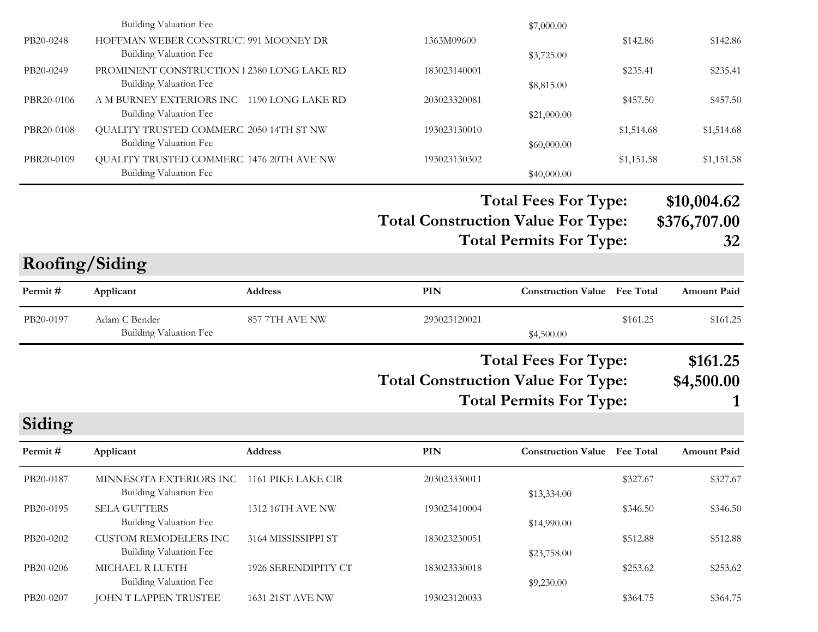|            | <b>Building Valuation Fee</b>                                               |                     |                                           | \$7,000.00                                                    |            |                                   |
|------------|-----------------------------------------------------------------------------|---------------------|-------------------------------------------|---------------------------------------------------------------|------------|-----------------------------------|
| PB20-0248  | HOFFMAN WEBER CONSTRUCT 991 MOONEY DR<br><b>Building Valuation Fee</b>      |                     | 1363M09600                                | \$3,725.00                                                    | \$142.86   | \$142.86                          |
| PB20-0249  | PROMINENT CONSTRUCTION 1 2380 LONG LAKE RD<br><b>Building Valuation Fee</b> |                     | 183023140001                              | \$8,815.00                                                    | \$235.41   | \$235.41                          |
| PBR20-0106 | A M BURNEY EXTERIORS INC 1190 LONG LAKE RD<br><b>Building Valuation Fee</b> |                     | 203023320081                              | \$21,000.00                                                   | \$457.50   | \$457.50                          |
| PBR20-0108 | QUALITY TRUSTED COMMERC 2050 14TH ST NW<br><b>Building Valuation Fee</b>    |                     | 193023130010                              | \$60,000.00                                                   | \$1,514.68 | \$1,514.68                        |
| PBR20-0109 | QUALITY TRUSTED COMMERC 1476 20TH AVE NW<br><b>Building Valuation Fee</b>   |                     | 193023130302                              | \$40,000.00                                                   | \$1,151.58 | \$1,151.58                        |
|            |                                                                             |                     | <b>Total Construction Value For Type:</b> | <b>Total Fees For Type:</b><br><b>Total Permits For Type:</b> |            | \$10,004.62<br>\$376,707.00<br>32 |
|            | Roofing/Siding                                                              |                     |                                           |                                                               |            |                                   |
| Permit#    | Applicant                                                                   | Address             | <b>PIN</b>                                | <b>Construction Value</b> Fee Total                           |            | <b>Amount Paid</b>                |
| PB20-0197  | Adam C Bender<br><b>Building Valuation Fee</b>                              | 857 7TH AVE NW      | 293023120021                              | \$4,500.00                                                    | \$161.25   | \$161.25                          |
|            |                                                                             |                     | <b>Total Construction Value For Type:</b> | <b>Total Fees For Type:</b><br><b>Total Permits For Type:</b> |            | \$161.25<br>\$4,500.00            |
| Siding     |                                                                             |                     |                                           |                                                               |            |                                   |
| Permit#    | Applicant                                                                   | Address             | <b>PIN</b>                                | <b>Construction Value</b> Fee Total                           |            | <b>Amount Paid</b>                |
| PB20-0187  | MINNESOTA EXTERIORS INC 1161 PIKE LAKE CIR<br><b>Building Valuation Fee</b> |                     | 203023330011                              | \$13,334.00                                                   | \$327.67   | \$327.67                          |
| PB20-0195  | SELA GUTTERS<br><b>Building Valuation Fee</b>                               | 1312 16TH AVE NW    | 193023410004                              | \$14,990.00                                                   | \$346.50   | \$346.50                          |
| PB20-0202  | <b>CUSTOM REMODELERS INC</b><br><b>Building Valuation Fee</b>               | 3164 MISSISSIPPI ST | 183023230051                              | \$23,758.00                                                   | \$512.88   | \$512.88                          |
| PB20-0206  | MICHAEL R LUETH<br><b>Building Valuation Fee</b>                            | 1926 SERENDIPITY CT | 183023330018                              | \$9,230.00                                                    | \$253.62   | \$253.62                          |
| PB20-0207  | JOHN T LAPPEN TRUSTEE                                                       | 1631 21ST AVE NW    | 193023120033                              |                                                               | \$364.75   | \$364.75                          |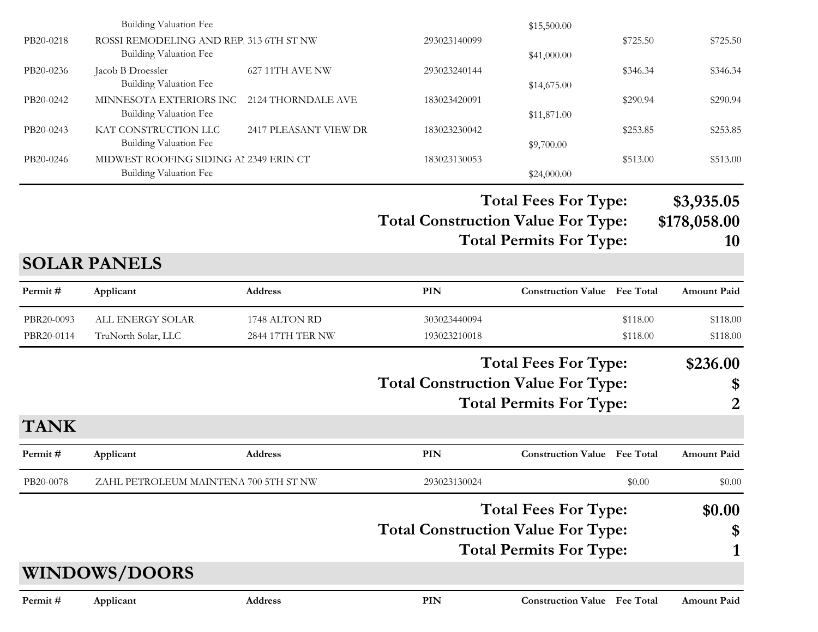|                          | <b>Building Valuation Fee</b>                                            |                                   |                                           | \$15,500.00                                                   |                      |                                  |
|--------------------------|--------------------------------------------------------------------------|-----------------------------------|-------------------------------------------|---------------------------------------------------------------|----------------------|----------------------------------|
| PB20-0218                | ROSSI REMODELING AND REP. 313 6TH ST NW<br><b>Building Valuation Fee</b> |                                   | 293023140099                              | \$41,000.00                                                   | \$725.50             | \$725.50                         |
| PB20-0236                | Jacob B Droessler<br><b>Building Valuation Fee</b>                       | 627 11TH AVE NW                   | 293023240144                              | \$14,675.00                                                   | \$346.34             | \$346.34                         |
| PB20-0242                | MINNESOTA EXTERIORS INC<br><b>Building Valuation Fee</b>                 | 2124 THORNDALE AVE                | 183023420091                              | \$11,871.00                                                   | \$290.94             | \$290.94                         |
| PB20-0243                | KAT CONSTRUCTION LLC<br><b>Building Valuation Fee</b>                    | 2417 PLEASANT VIEW DR             | 183023230042                              | \$9,700.00                                                    | \$253.85             | \$253.85                         |
| PB20-0246                | MIDWEST ROOFING SIDING AI 2349 ERIN CT<br><b>Building Valuation Fee</b>  |                                   | 183023130053                              | \$24,000.00                                                   | \$513.00             | \$513.00                         |
|                          |                                                                          |                                   | <b>Total Construction Value For Type:</b> | <b>Total Fees For Type:</b><br><b>Total Permits For Type:</b> |                      | \$3,935.05<br>\$178,058.00<br>10 |
|                          | <b>SOLAR PANELS</b>                                                      |                                   |                                           |                                                               |                      |                                  |
| Permit#                  | Applicant                                                                | Address                           | PIN                                       | <b>Construction Value</b> Fee Total                           |                      | <b>Amount Paid</b>               |
| PBR20-0093<br>PBR20-0114 | ALL ENERGY SOLAR<br>TruNorth Solar, LLC                                  | 1748 ALTON RD<br>2844 17TH TER NW | 303023440094<br>193023210018              |                                                               | \$118.00<br>\$118.00 | \$118.00<br>\$118.00             |
|                          |                                                                          |                                   | <b>Total Construction Value For Type:</b> | <b>Total Fees For Type:</b><br><b>Total Permits For Type:</b> |                      | \$236.00<br>\$<br>2              |
| <b>TANK</b>              |                                                                          |                                   |                                           |                                                               |                      |                                  |
| Permit#                  | Applicant                                                                | Address                           | PIN                                       | <b>Construction Value Fee Total</b>                           |                      | <b>Amount Paid</b>               |
| PB20-0078                | ZAHL PETROLEUM MAINTENA 700 5TH ST NW                                    |                                   | 293023130024                              |                                                               | \$0.00               | \$0.00                           |
|                          |                                                                          |                                   |                                           | <b>Total Fees For Type:</b>                                   |                      | \$0.00                           |
|                          |                                                                          |                                   | <b>Total Construction Value For Type:</b> |                                                               |                      | \$                               |
|                          |                                                                          |                                   |                                           | <b>Total Permits For Type:</b>                                |                      |                                  |
|                          | <b>WINDOWS/DOORS</b>                                                     |                                   |                                           |                                                               |                      |                                  |
| Permit#                  | Applicant                                                                | Address                           | PIN                                       | <b>Construction Value Fee Total</b>                           |                      | <b>Amount Paid</b>               |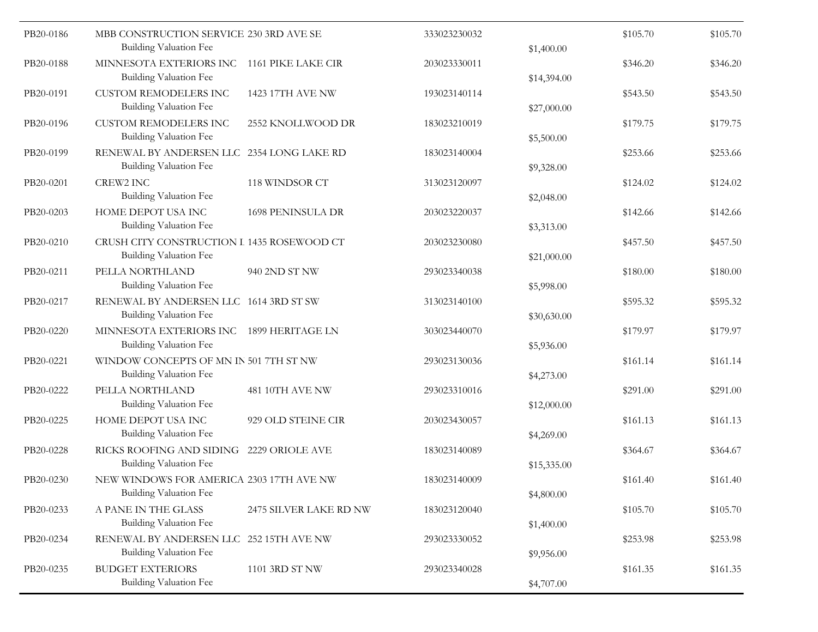| PB20-0186 | MBB CONSTRUCTION SERVICE 230 3RD AVE SE                             |                        | 333023230032 |             | \$105.70 | \$105.70 |
|-----------|---------------------------------------------------------------------|------------------------|--------------|-------------|----------|----------|
|           | <b>Building Valuation Fee</b>                                       |                        |              | \$1,400.00  |          |          |
| PB20-0188 | MINNESOTA EXTERIORS INC<br>Building Valuation Fee                   | 1161 PIKE LAKE CIR     | 203023330011 | \$14,394.00 | \$346.20 | \$346.20 |
| PB20-0191 | <b>CUSTOM REMODELERS INC</b><br><b>Building Valuation Fee</b>       | 1423 17TH AVE NW       | 193023140114 | \$27,000.00 | \$543.50 | \$543.50 |
| PB20-0196 | <b>CUSTOM REMODELERS INC</b><br><b>Building Valuation Fee</b>       | 2552 KNOLLWOOD DR      | 183023210019 | \$5,500.00  | \$179.75 | \$179.75 |
| PB20-0199 | RENEWAL BY ANDERSEN LLC 2354 LONG LAKE RD<br>Building Valuation Fee |                        | 183023140004 | \$9,328.00  | \$253.66 | \$253.66 |
| PB20-0201 | <b>CREW2 INC</b>                                                    | 118 WINDSOR CT         | 313023120097 |             | \$124.02 | \$124.02 |
|           | Building Valuation Fee                                              |                        |              | \$2,048.00  |          |          |
| PB20-0203 | HOME DEPOT USA INC                                                  | 1698 PENINSULA DR      | 203023220037 |             | \$142.66 | \$142.66 |
|           | Building Valuation Fee                                              |                        |              | \$3,313.00  |          |          |
| PB20-0210 | CRUSH CITY CONSTRUCTION I 1435 ROSEWOOD CT                          |                        | 203023230080 |             | \$457.50 | \$457.50 |
|           | <b>Building Valuation Fee</b>                                       |                        |              | \$21,000.00 |          |          |
| PB20-0211 | PELLA NORTHLAND<br>Building Valuation Fee                           | 940 2ND ST NW          | 293023340038 | \$5,998.00  | \$180.00 | \$180.00 |
| PB20-0217 | RENEWAL BY ANDERSEN LLC 1614 3RD ST SW                              |                        | 313023140100 |             | \$595.32 | \$595.32 |
|           | Building Valuation Fee                                              |                        |              | \$30,630.00 |          |          |
| PB20-0220 | MINNESOTA EXTERIORS INC                                             | 1899 HERITAGE LN       | 303023440070 |             | \$179.97 | \$179.97 |
|           | Building Valuation Fee                                              |                        |              | \$5,936.00  |          |          |
| PB20-0221 | WINDOW CONCEPTS OF MN IN 501 7TH ST NW                              |                        | 293023130036 |             | \$161.14 | \$161.14 |
|           | <b>Building Valuation Fee</b>                                       |                        |              | \$4,273.00  |          |          |
| PB20-0222 | PELLA NORTHLAND                                                     | 481 10TH AVE NW        | 293023310016 |             | \$291.00 | \$291.00 |
|           | Building Valuation Fee                                              |                        |              | \$12,000.00 |          |          |
| PB20-0225 | HOME DEPOT USA INC<br><b>Building Valuation Fee</b>                 | 929 OLD STEINE CIR     | 203023430057 | \$4,269.00  | \$161.13 | \$161.13 |
| PB20-0228 | RICKS ROOFING AND SIDING                                            | 2229 ORIOLE AVE        | 183023140089 |             | \$364.67 | \$364.67 |
|           | Building Valuation Fee                                              |                        |              | \$15,335.00 |          |          |
| PB20-0230 | NEW WINDOWS FOR AMERICA 2303 17TH AVE NW                            |                        | 183023140009 |             | \$161.40 | \$161.40 |
|           | Building Valuation Fee                                              |                        |              | \$4,800.00  |          |          |
| PB20-0233 | A PANE IN THE GLASS                                                 | 2475 SILVER LAKE RD NW | 183023120040 |             | \$105.70 | \$105.70 |
|           | Building Valuation Fee                                              |                        |              | \$1,400.00  |          |          |
| PB20-0234 | RENEWAL BY ANDERSEN LLC 252 15TH AVE NW                             |                        | 293023330052 |             | \$253.98 | \$253.98 |
|           | Building Valuation Fee                                              |                        |              | \$9,956.00  |          |          |
| PB20-0235 | <b>BUDGET EXTERIORS</b>                                             | 1101 3RD ST NW         | 293023340028 |             | \$161.35 | \$161.35 |
|           | Building Valuation Fee                                              |                        |              | \$4,707.00  |          |          |